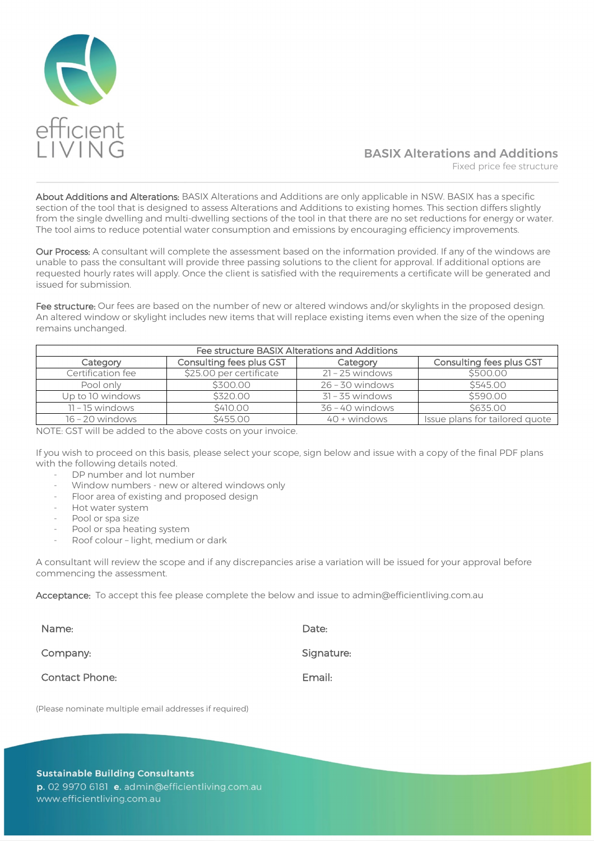

# BASIX Alterations and Additions Fixed price fee structure

About Additions and Alterations: BASIX Alterations and Additions are only applicable in NSW. BASIX has a specific section of the tool that is designed to assess Alterations and Additions to existing homes. This section differs slightly from the single dwelling and multi-dwelling sections of the tool in that there are no set reductions for energy or water. The tool aims to reduce potential water consumption and emissions by encouraging efficiency improvements.

Our Process: A consultant will complete the assessment based on the information provided. If any of the windows are unable to pass the consultant will provide three passing solutions to the client for approval. If additional options are requested hourly rates will apply. Once the client is satisfied with the requirements a certificate will be generated and issued for submission.

Fee structure: Our fees are based on the number of new or altered windows and/or skylights in the proposed design. An altered window or skylight includes new items that will replace existing items even when the size of the opening remains unchanged.

| Fee structure BASIX Alterations and Additions |                          |                   |                                |
|-----------------------------------------------|--------------------------|-------------------|--------------------------------|
| Category                                      | Consulting fees plus GST | Category          | Consulting fees plus GST       |
| Certification fee                             | \$25.00 per certificate  | $21 - 25$ windows | \$500.00                       |
| Pool only                                     | \$300.00                 | $26 - 30$ windows | \$545.00                       |
| Up to 10 windows                              | \$320.00                 | $31 - 35$ windows | \$590.00                       |
| $11 - 15$ windows                             | \$410.00                 | $36 - 40$ windows | \$635.00                       |
| $16 - 20$ windows                             | \$455.00                 | $40 +$ windows    | Issue plans for tailored quote |

NOTE: GST will be added to the above costs on your invoice.

If you wish to proceed on this basis, please select your scope, sign below and issue with a copy of the final PDF plans with the following details noted.

- DP number and lot number
- Window numbers new or altered windows only
- Floor area of existing and proposed design
- Hot water system
- Pool or spa size
- Pool or spa heating system
- Roof colour light, medium or dark

A consultant will review the scope and if any discrepancies arise a variation will be issued for your approval before commencing the assessment.

Acceptance: To accept this fee please complete the below and issue to [admin@efficientliving.com.au](mailto:admin@efficientliving.com.au)

| Name:                 | Date:      |
|-----------------------|------------|
| Company:              | Signature: |
| <b>Contact Phone:</b> | Email:     |

(Please nominate multiple email addresses if required)